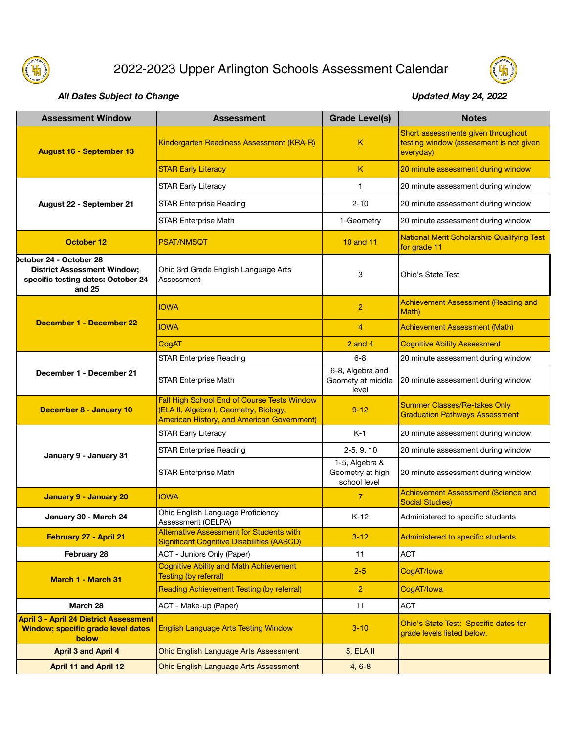

## 2022-2023 Upper Arlington Schools Assessment Calendar



## *All Dates Subject to Change Department of the Change of the Updated May 24, 2022*

| <b>Assessment Window</b>                                                                                      | Assessment                                                                                                                          | <b>Grade Level(s)</b>                              | <b>Notes</b>                                                                               |
|---------------------------------------------------------------------------------------------------------------|-------------------------------------------------------------------------------------------------------------------------------------|----------------------------------------------------|--------------------------------------------------------------------------------------------|
| <b>August 16 - September 13</b>                                                                               | Kindergarten Readiness Assessment (KRA-R)                                                                                           | K                                                  | Short assessments given throughout<br>testing window (assessment is not given<br>everyday) |
|                                                                                                               | <b>STAR Early Literacy</b>                                                                                                          | K                                                  | 20 minute assessment during window                                                         |
| August 22 - September 21                                                                                      | <b>STAR Early Literacy</b>                                                                                                          | 1                                                  | 20 minute assessment during window                                                         |
|                                                                                                               | <b>STAR Enterprise Reading</b>                                                                                                      | $2 - 10$                                           | 20 minute assessment during window                                                         |
|                                                                                                               | <b>STAR Enterprise Math</b>                                                                                                         | 1-Geometry                                         | 20 minute assessment during window                                                         |
| October 12                                                                                                    | <b>PSAT/NMSQT</b>                                                                                                                   | 10 and 11                                          | <b>National Merit Scholarship Qualifying Test</b><br>for grade 11                          |
| Dctober 24 - October 28<br><b>District Assessment Window;</b><br>specific testing dates: October 24<br>and 25 | Ohio 3rd Grade English Language Arts<br>Assessment                                                                                  | 3                                                  | Ohio's State Test                                                                          |
| December 1 - December 22                                                                                      | <b>IOWA</b>                                                                                                                         | $\overline{2}$                                     | <b>Achievement Assessment (Reading and</b><br>Math)                                        |
|                                                                                                               | <b>IOWA</b>                                                                                                                         | $\overline{4}$                                     | <b>Achievement Assessment (Math)</b>                                                       |
|                                                                                                               | CogAT                                                                                                                               | $2$ and $4$                                        | <b>Cognitive Ability Assessment</b>                                                        |
|                                                                                                               | <b>STAR Enterprise Reading</b>                                                                                                      | $6 - 8$                                            | 20 minute assessment during window                                                         |
| December 1 - December 21                                                                                      | <b>STAR Enterprise Math</b>                                                                                                         | 6-8, Algebra and<br>Geomety at middle<br>level     | 20 minute assessment during window                                                         |
| December 8 - January 10                                                                                       | Fall High School End of Course Tests Window<br>(ELA II, Algebra I, Geometry, Biology,<br>American History, and American Government) | $9 - 12$                                           | <b>Summer Classes/Re-takes Only</b><br><b>Graduation Pathways Assessment</b>               |
| January 9 - January 31                                                                                        | <b>STAR Early Literacy</b>                                                                                                          | $K-1$                                              | 20 minute assessment during window                                                         |
|                                                                                                               | <b>STAR Enterprise Reading</b>                                                                                                      | $2-5, 9, 10$                                       | 20 minute assessment during window                                                         |
|                                                                                                               | <b>STAR Enterprise Math</b>                                                                                                         | 1-5, Algebra &<br>Geometry at high<br>school level | 20 minute assessment during window                                                         |
| <b>January 9 - January 20</b>                                                                                 | <b>IOWA</b>                                                                                                                         | $\overline{7}$                                     | Achievement Assessment (Science and<br><b>Social Studies)</b>                              |
| January 30 - March 24                                                                                         | Ohio English Language Proficiency<br>Assessment (OELPA)                                                                             | $K-12$                                             | Administered to specific students                                                          |
| February 27 - April 21                                                                                        | <b>Alternative Assessment for Students with</b><br><b>Significant Cognitive Disabilities (AASCD)</b>                                | $3 - 12$                                           | Administered to specific students                                                          |
| February 28                                                                                                   | ACT - Juniors Only (Paper)                                                                                                          | 11                                                 | <b>ACT</b>                                                                                 |
| March 1 - March 31                                                                                            | <b>Cognitive Ability and Math Achievement</b><br>Testing (by referral)                                                              | $2 - 5$                                            | CogAT/lowa                                                                                 |
|                                                                                                               | <b>Reading Achievement Testing (by referral)</b>                                                                                    | $\overline{2}$                                     | CogAT/lowa                                                                                 |
| March 28                                                                                                      | ACT - Make-up (Paper)                                                                                                               | 11                                                 | <b>ACT</b>                                                                                 |
| April 3 - April 24 District Assessment<br><b>Window; specific grade level dates</b><br>below                  | <b>English Language Arts Testing Window</b>                                                                                         | $3 - 10$                                           | Ohio's State Test: Specific dates for<br>grade levels listed below.                        |
| <b>April 3 and April 4</b>                                                                                    | Ohio English Language Arts Assessment                                                                                               | 5, ELA II                                          |                                                                                            |
| <b>April 11 and April 12</b>                                                                                  | Ohio English Language Arts Assessment                                                                                               | $4, 6-8$                                           |                                                                                            |